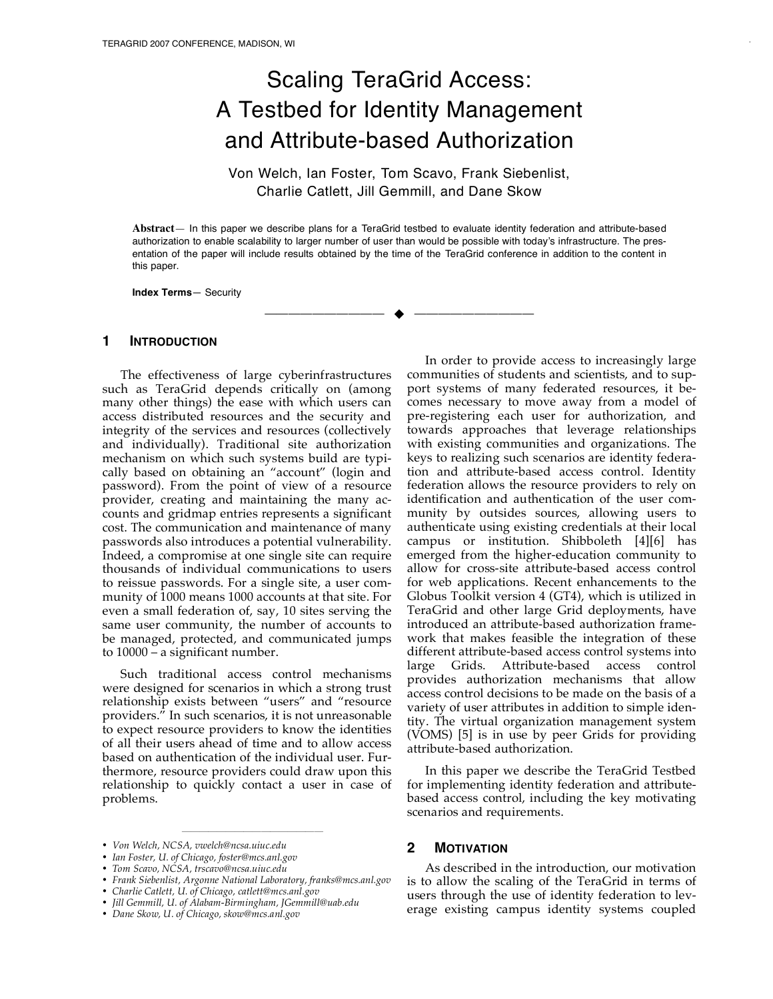# Scaling TeraGrid Access: A Testbed for Identity Management and Attribute-based Authorization

Von Welch, Ian Foster, Tom Scavo, Frank Siebenlist, Charlie Catlett, Jill Gemmill, and Dane Skow

**Abstract**— In this paper we describe plans for a TeraGrid testbed to evaluate identity federation and attribute-based authorization to enable scalability to larger number of user than would be possible with today's infrastructure. The presentation of the paper will include results obtained by the time of the TeraGrid conference in addition to the content in this paper.

—————————— ——————————

**Index Terms**— Security

#### **1 INTRODUCTION**

The effectiveness of large cyberinfrastructures such as TeraGrid depends critically on (among many other things) the ease with which users can access distributed resources and the security and integrity of the services and resources (collectively and individually). Traditional site authorization mechanism on which such systems build are typically based on obtaining an "account" (login and password). From the point of view of a resource provider, creating and maintaining the many accounts and gridmap entries represents a significant cost. The communication and maintenance of many passwords also introduces a potential vulnerability. Indeed, a compromise at one single site can require thousands of individual communications to users to reissue passwords. For a single site, a user community of 1000 means 1000 accounts at that site. For even a small federation of, say, 10 sites serving the same user community, the number of accounts to be managed, protected, and communicated jumps to 10000 – a significant number.

Such traditional access control mechanisms were designed for scenarios in which a strong trust relationship exists between "users" and "resource providers." In such scenarios, it is not unreasonable to expect resource providers to know the identities of all their users ahead of time and to allow access based on authentication of the individual user. Furthermore, resource providers could draw upon this relationship to quickly contact a user in case of problems.

————————————————

In order to provide access to increasingly large communities of students and scientists, and to support systems of many federated resources, it becomes necessary to move away from a model of pre-registering each user for authorization, and towards approaches that leverage relationships with existing communities and organizations. The keys to realizing such scenarios are identity federation and attribute-based access control. Identity federation allows the resource providers to rely on identification and authentication of the user community by outsides sources, allowing users to authenticate using existing credentials at their local campus or institution. Shibboleth [4][6] has emerged from the higher-education community to allow for cross-site attribute-based access control for web applications. Recent enhancements to the Globus Toolkit version 4 (GT4), which is utilized in TeraGrid and other large Grid deployments, have introduced an attribute-based authorization framework that makes feasible the integration of these different attribute-based access control systems into large Grids. Attribute-based access control provides authorization mechanisms that allow access control decisions to be made on the basis of a variety of user attributes in addition to simple identity. The virtual organization management system (VOMS) [5] is in use by peer Grids for providing attribute-based authorization.

In this paper we describe the TeraGrid Testbed for implementing identity federation and attributebased access control, including the key motivating scenarios and requirements.

## **2 MOTIVATION**

As described in the introduction, our motivation is to allow the scaling of the TeraGrid in terms of users through the use of identity federation to leverage existing campus identity systems coupled

<sup>•</sup> *Von Welch, NCSA, vwelch@ncsa.uiuc.edu*

<sup>•</sup> *Ian Foster, U. of Chicago, foster@mcs.anl.gov*

<sup>•</sup> *Tom Scavo, NCSA, trscavo@ncsa.uiuc.edu*

<sup>•</sup> *Frank Siebenlist, Argonne National Laboratory, franks@mcs.anl.gov*

<sup>•</sup> *Charlie Catlett, U. of Chicago, catlett@mcs.anl.gov*

<sup>•</sup> *Jill Gemmill, U. of Alabam-Birmingham, JGemmill@uab.edu*

<sup>•</sup> *Dane Skow, U. of Chicago, skow@mcs.anl.gov*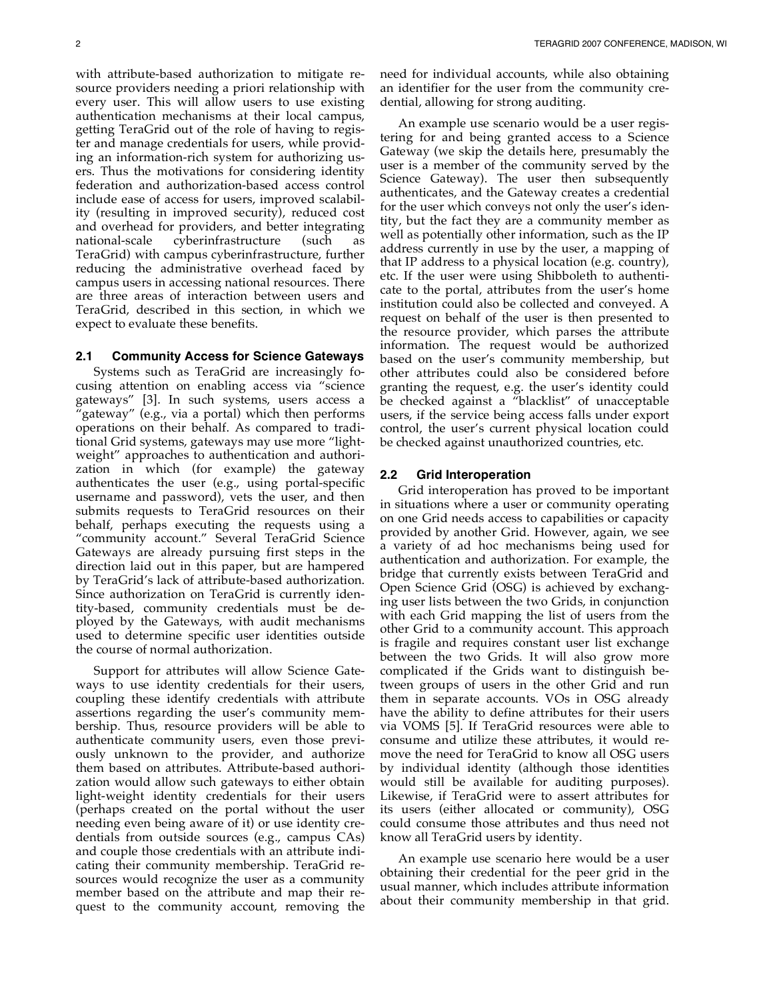with attribute-based authorization to mitigate resource providers needing a priori relationship with every user. This will allow users to use existing authentication mechanisms at their local campus, getting TeraGrid out of the role of having to register and manage credentials for users, while providing an information-rich system for authorizing users. Thus the motivations for considering identity federation and authorization-based access control include ease of access for users, improved scalability (resulting in improved security), reduced cost and overhead for providers, and better integrating national-scale cyberinfrastructure (such as TeraGrid) with campus cyberinfrastructure, further reducing the administrative overhead faced by campus users in accessing national resources. There are three areas of interaction between users and TeraGrid, described in this section, in which we expect to evaluate these benefits.

#### **2.1 Community Access for Science Gateways**

Systems such as TeraGrid are increasingly focusing attention on enabling access via "science gateways" [3]. In such systems, users access a "gateway" (e.g., via a portal) which then performs operations on their behalf. As compared to traditional Grid systems, gateways may use more "lightweight" approaches to authentication and authorization in which (for example) the gateway authenticates the user (e.g., using portal-specific username and password), vets the user, and then submits requests to TeraGrid resources on their behalf, perhaps executing the requests using a "community account." Several TeraGrid Science Gateways are already pursuing first steps in the direction laid out in this paper, but are hampered by TeraGrid's lack of attribute-based authorization. Since authorization on TeraGrid is currently identity-based, community credentials must be deployed by the Gateways, with audit mechanisms used to determine specific user identities outside the course of normal authorization.

Support for attributes will allow Science Gateways to use identity credentials for their users, coupling these identify credentials with attribute assertions regarding the user's community membership. Thus, resource providers will be able to authenticate community users, even those previously unknown to the provider, and authorize them based on attributes. Attribute-based authorization would allow such gateways to either obtain light-weight identity credentials for their users (perhaps created on the portal without the user needing even being aware of it) or use identity credentials from outside sources (e.g., campus CAs) and couple those credentials with an attribute indicating their community membership. TeraGrid resources would recognize the user as a community member based on the attribute and map their request to the community account, removing the

need for individual accounts, while also obtaining an identifier for the user from the community credential, allowing for strong auditing.

An example use scenario would be a user registering for and being granted access to a Science Gateway (we skip the details here, presumably the user is a member of the community served by the Science Gateway). The user then subsequently authenticates, and the Gateway creates a credential for the user which conveys not only the user's identity, but the fact they are a community member as well as potentially other information, such as the IP address currently in use by the user, a mapping of that IP address to a physical location (e.g. country), etc. If the user were using Shibboleth to authenticate to the portal, attributes from the user's home institution could also be collected and conveyed. A request on behalf of the user is then presented to the resource provider, which parses the attribute information. The request would be authorized based on the user's community membership, but other attributes could also be considered before granting the request, e.g. the user's identity could be checked against a "blacklist" of unacceptable users, if the service being access falls under export control, the user's current physical location could be checked against unauthorized countries, etc.

#### **2.2 Grid Interoperation**

Grid interoperation has proved to be important in situations where a user or community operating on one Grid needs access to capabilities or capacity provided by another Grid. However, again, we see a variety of ad hoc mechanisms being used for authentication and authorization. For example, the bridge that currently exists between TeraGrid and Open Science Grid (OSG) is achieved by exchanging user lists between the two Grids, in conjunction with each Grid mapping the list of users from the other Grid to a community account. This approach is fragile and requires constant user list exchange between the two Grids. It will also grow more complicated if the Grids want to distinguish between groups of users in the other Grid and run them in separate accounts. VOs in OSG already have the ability to define attributes for their users via VOMS [5]. If TeraGrid resources were able to consume and utilize these attributes, it would remove the need for TeraGrid to know all OSG users by individual identity (although those identities would still be available for auditing purposes). Likewise, if TeraGrid were to assert attributes for its users (either allocated or community), OSG could consume those attributes and thus need not know all TeraGrid users by identity.

An example use scenario here would be a user obtaining their credential for the peer grid in the usual manner, which includes attribute information about their community membership in that grid.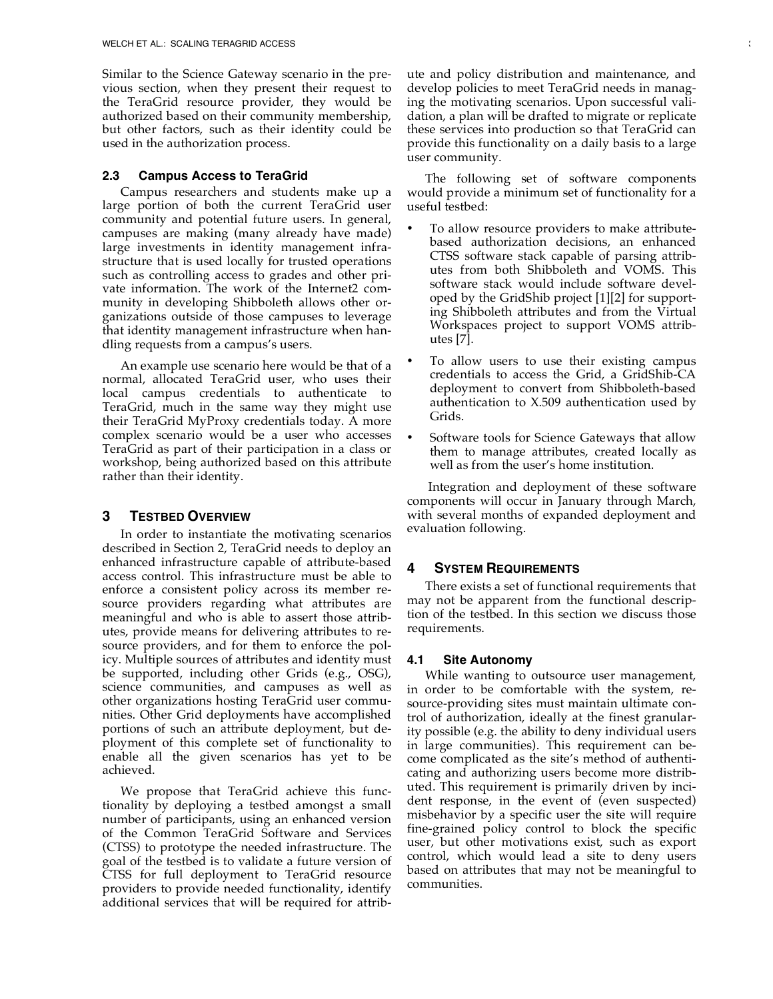Similar to the Science Gateway scenario in the previous section, when they present their request to the TeraGrid resource provider, they would be authorized based on their community membership, but other factors, such as their identity could be used in the authorization process.

## **2.3 Campus Access to TeraGrid**

Campus researchers and students make up a large portion of both the current TeraGrid user community and potential future users. In general, campuses are making (many already have made) large investments in identity management infrastructure that is used locally for trusted operations such as controlling access to grades and other private information. The work of the Internet2 community in developing Shibboleth allows other organizations outside of those campuses to leverage that identity management infrastructure when handling requests from a campus's users.

An example use scenario here would be that of a normal, allocated TeraGrid user, who uses their local campus credentials to authenticate to TeraGrid, much in the same way they might use their TeraGrid MyProxy credentials today. A more complex scenario would be a user who accesses TeraGrid as part of their participation in a class or workshop, being authorized based on this attribute rather than their identity.

# **3 TESTBED OVERVIEW**

In order to instantiate the motivating scenarios described in Section 2, TeraGrid needs to deploy an enhanced infrastructure capable of attribute-based access control. This infrastructure must be able to enforce a consistent policy across its member resource providers regarding what attributes are meaningful and who is able to assert those attributes, provide means for delivering attributes to resource providers, and for them to enforce the policy. Multiple sources of attributes and identity must be supported, including other Grids (e.g., OSG), science communities, and campuses as well as other organizations hosting TeraGrid user communities. Other Grid deployments have accomplished portions of such an attribute deployment, but deployment of this complete set of functionality to enable all the given scenarios has yet to be achieved.

We propose that TeraGrid achieve this functionality by deploying a testbed amongst a small number of participants, using an enhanced version of the Common TeraGrid Software and Services (CTSS) to prototype the needed infrastructure. The goal of the testbed is to validate a future version of CTSS for full deployment to TeraGrid resource providers to provide needed functionality, identify additional services that will be required for attribute and policy distribution and maintenance, and develop policies to meet TeraGrid needs in managing the motivating scenarios. Upon successful validation, a plan will be drafted to migrate or replicate these services into production so that TeraGrid can provide this functionality on a daily basis to a large user community.

The following set of software components would provide a minimum set of functionality for a useful testbed:

- To allow resource providers to make attributebased authorization decisions, an enhanced CTSS software stack capable of parsing attributes from both Shibboleth and VOMS. This software stack would include software developed by the GridShib project [1][2] for supporting Shibboleth attributes and from the Virtual Workspaces project to support VOMS attributes [7].
- To allow users to use their existing campus credentials to access the Grid, a GridShib-CA deployment to convert from Shibboleth-based authentication to X.509 authentication used by Grids.
- Software tools for Science Gateways that allow them to manage attributes, created locally as well as from the user's home institution.

Integration and deployment of these software components will occur in January through March, with several months of expanded deployment and evaluation following.

# **4 SYSTEM REQUIREMENTS**

There exists a set of functional requirements that may not be apparent from the functional description of the testbed. In this section we discuss those requirements.

# **4.1 Site Autonomy**

While wanting to outsource user management, in order to be comfortable with the system, resource-providing sites must maintain ultimate control of authorization, ideally at the finest granularity possible (e.g. the ability to deny individual users in large communities). This requirement can become complicated as the site's method of authenticating and authorizing users become more distributed. This requirement is primarily driven by incident response, in the event of (even suspected) misbehavior by a specific user the site will require fine-grained policy control to block the specific user, but other motivations exist, such as export control, which would lead a site to deny users based on attributes that may not be meaningful to communities.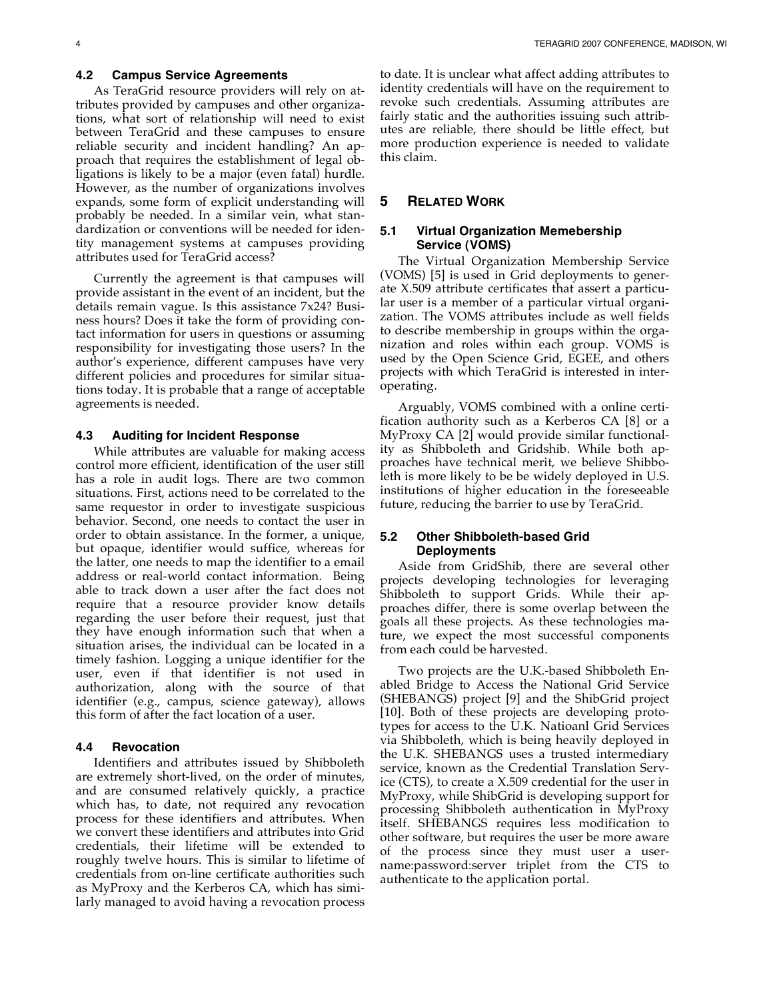### **4.2 Campus Service Agreements**

As TeraGrid resource providers will rely on attributes provided by campuses and other organizations, what sort of relationship will need to exist between TeraGrid and these campuses to ensure reliable security and incident handling? An approach that requires the establishment of legal obligations is likely to be a major (even fatal) hurdle. However, as the number of organizations involves expands, some form of explicit understanding will probably be needed. In a similar vein, what standardization or conventions will be needed for identity management systems at campuses providing attributes used for TeraGrid access?

Currently the agreement is that campuses will provide assistant in the event of an incident, but the details remain vague. Is this assistance 7x24? Business hours? Does it take the form of providing contact information for users in questions or assuming responsibility for investigating those users? In the author's experience, different campuses have very different policies and procedures for similar situations today. It is probable that a range of acceptable agreements is needed.

# **4.3 Auditing for Incident Response**

While attributes are valuable for making access control more efficient, identification of the user still has a role in audit logs. There are two common situations. First, actions need to be correlated to the same requestor in order to investigate suspicious behavior. Second, one needs to contact the user in order to obtain assistance. In the former, a unique, but opaque, identifier would suffice, whereas for the latter, one needs to map the identifier to a email address or real-world contact information. Being able to track down a user after the fact does not require that a resource provider know details regarding the user before their request, just that they have enough information such that when a situation arises, the individual can be located in a timely fashion. Logging a unique identifier for the user, even if that identifier is not used in authorization, along with the source of that identifier (e.g., campus, science gateway), allows this form of after the fact location of a user.

## **4.4 Revocation**

Identifiers and attributes issued by Shibboleth are extremely short-lived, on the order of minutes, and are consumed relatively quickly, a practice which has, to date, not required any revocation process for these identifiers and attributes. When we convert these identifiers and attributes into Grid credentials, their lifetime will be extended to roughly twelve hours. This is similar to lifetime of credentials from on-line certificate authorities such as MyProxy and the Kerberos CA, which has similarly managed to avoid having a revocation process to date. It is unclear what affect adding attributes to identity credentials will have on the requirement to revoke such credentials. Assuming attributes are fairly static and the authorities issuing such attributes are reliable, there should be little effect, but more production experience is needed to validate this claim.

## **5 RELATED WORK**

## **5.1 Virtual Organization Memebership Service (VOMS)**

The Virtual Organization Membership Service (VOMS) [5] is used in Grid deployments to generate X.509 attribute certificates that assert a particular user is a member of a particular virtual organization. The VOMS attributes include as well fields to describe membership in groups within the organization and roles within each group. VOMS is used by the Open Science Grid, EGEE, and others projects with which TeraGrid is interested in interoperating.

Arguably, VOMS combined with a online certification authority such as a Kerberos CA [8] or a MyProxy CA [2] would provide similar functionality as Shibboleth and Gridshib. While both approaches have technical merit, we believe Shibboleth is more likely to be be widely deployed in U.S. institutions of higher education in the foreseeable future, reducing the barrier to use by TeraGrid.

## **5.2 Other Shibboleth-based Grid Deployments**

Aside from GridShib, there are several other projects developing technologies for leveraging Shibboleth to support Grids. While their approaches differ, there is some overlap between the goals all these projects. As these technologies mature, we expect the most successful components from each could be harvested.

Two projects are the U.K.-based Shibboleth Enabled Bridge to Access the National Grid Service (SHEBANGS) project [9] and the ShibGrid project [10]. Both of these projects are developing prototypes for access to the U.K. Natioanl Grid Services via Shibboleth, which is being heavily deployed in the U.K. SHEBANGS uses a trusted intermediary service, known as the Credential Translation Service (CTS), to create a X.509 credential for the user in MyProxy, while ShibGrid is developing support for processing Shibboleth authentication in MyProxy itself. SHEBANGS requires less modification to other software, but requires the user be more aware of the process since they must user a username:password:server triplet from the CTS to authenticate to the application portal.